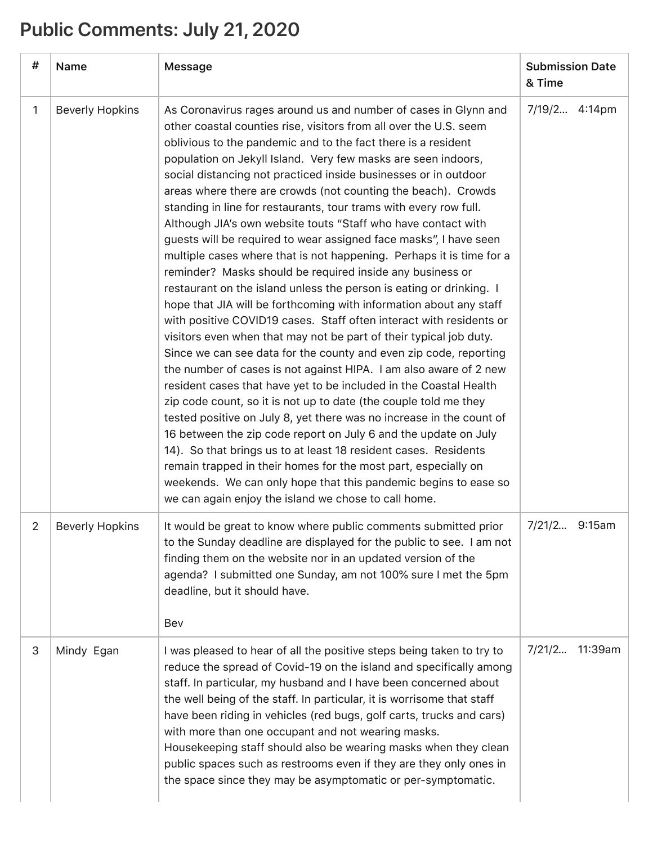## **Public Comments: July 21, 2020**

| #  | Name                   | Message                                                                                                                                                                                                                                                                                                                                                                                                                                                                                                                                                                                                                                                                                                                                                                                                                                                                                                                                                                                                                                                                                                                                                                                                                                                                                                                                                                                                                                                                                                                                                                                                                                                                                                                                            | <b>Submission Date</b><br>& Time |
|----|------------------------|----------------------------------------------------------------------------------------------------------------------------------------------------------------------------------------------------------------------------------------------------------------------------------------------------------------------------------------------------------------------------------------------------------------------------------------------------------------------------------------------------------------------------------------------------------------------------------------------------------------------------------------------------------------------------------------------------------------------------------------------------------------------------------------------------------------------------------------------------------------------------------------------------------------------------------------------------------------------------------------------------------------------------------------------------------------------------------------------------------------------------------------------------------------------------------------------------------------------------------------------------------------------------------------------------------------------------------------------------------------------------------------------------------------------------------------------------------------------------------------------------------------------------------------------------------------------------------------------------------------------------------------------------------------------------------------------------------------------------------------------------|----------------------------------|
| 1  | <b>Beverly Hopkins</b> | As Coronavirus rages around us and number of cases in Glynn and<br>other coastal counties rise, visitors from all over the U.S. seem<br>oblivious to the pandemic and to the fact there is a resident<br>population on Jekyll Island. Very few masks are seen indoors,<br>social distancing not practiced inside businesses or in outdoor<br>areas where there are crowds (not counting the beach). Crowds<br>standing in line for restaurants, tour trams with every row full.<br>Although JIA's own website touts "Staff who have contact with<br>guests will be required to wear assigned face masks", I have seen<br>multiple cases where that is not happening. Perhaps it is time for a<br>reminder? Masks should be required inside any business or<br>restaurant on the island unless the person is eating or drinking. I<br>hope that JIA will be forthcoming with information about any staff<br>with positive COVID19 cases. Staff often interact with residents or<br>visitors even when that may not be part of their typical job duty.<br>Since we can see data for the county and even zip code, reporting<br>the number of cases is not against HIPA. I am also aware of 2 new<br>resident cases that have yet to be included in the Coastal Health<br>zip code count, so it is not up to date (the couple told me they<br>tested positive on July 8, yet there was no increase in the count of<br>16 between the zip code report on July 6 and the update on July<br>14). So that brings us to at least 18 resident cases. Residents<br>remain trapped in their homes for the most part, especially on<br>weekends. We can only hope that this pandemic begins to ease so<br>we can again enjoy the island we chose to call home. | 7/19/2 4:14pm                    |
| 2. | <b>Beverly Hopkins</b> | It would be great to know where public comments submitted prior<br>to the Sunday deadline are displayed for the public to see. I am not<br>finding them on the website nor in an updated version of the<br>agenda? I submitted one Sunday, am not 100% sure I met the 5pm<br>deadline, but it should have.<br>Bev                                                                                                                                                                                                                                                                                                                                                                                                                                                                                                                                                                                                                                                                                                                                                                                                                                                                                                                                                                                                                                                                                                                                                                                                                                                                                                                                                                                                                                  | 7/21/2<br>9:15am                 |
| 3  | Mindy Egan             | I was pleased to hear of all the positive steps being taken to try to<br>reduce the spread of Covid-19 on the island and specifically among<br>staff. In particular, my husband and I have been concerned about<br>the well being of the staff. In particular, it is worrisome that staff<br>have been riding in vehicles (red bugs, golf carts, trucks and cars)<br>with more than one occupant and not wearing masks.<br>Housekeeping staff should also be wearing masks when they clean<br>public spaces such as restrooms even if they are they only ones in<br>the space since they may be asymptomatic or per-symptomatic.                                                                                                                                                                                                                                                                                                                                                                                                                                                                                                                                                                                                                                                                                                                                                                                                                                                                                                                                                                                                                                                                                                                   | 7/21/2<br>11:39am                |